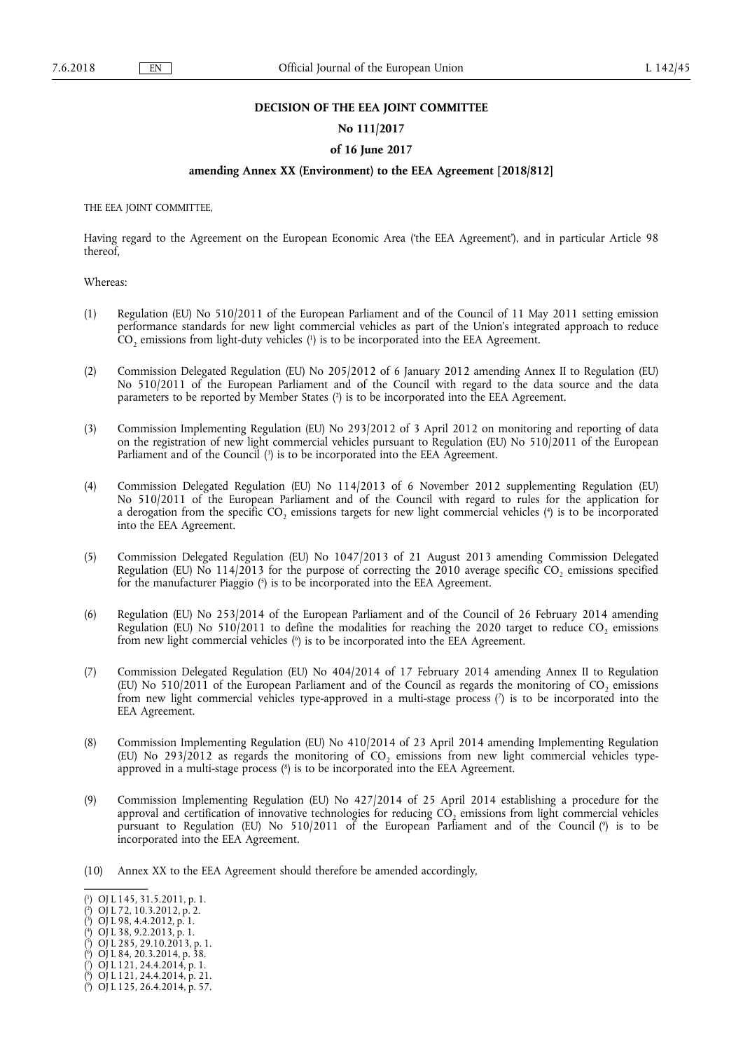## **DECISION OF THE EEA JOINT COMMITTEE**

#### **No 111/2017**

#### **of 16 June 2017**

## **amending Annex XX (Environment) to the EEA Agreement [2018/812]**

THE EEA JOINT COMMITTEE,

Having regard to the Agreement on the European Economic Area ('the EEA Agreement'), and in particular Article 98 thereof,

Whereas:

- (1) Regulation (EU) No 510/2011 of the European Parliament and of the Council of 11 May 2011 setting emission performance standards for new light commercial vehicles as part of the Union's integrated approach to reduce  $CO<sub>2</sub>$  emissions from light-duty vehicles ( $\vert$ ) is to be incorporated into the EEA Agreement.
- (2) Commission Delegated Regulation (EU) No 205/2012 of 6 January 2012 amending Annex II to Regulation (EU) No 510/2011 of the European Parliament and of the Council with regard to the data source and the data parameters to be reported by Member States ( 2 ) is to be incorporated into the EEA Agreement.
- (3) Commission Implementing Regulation (EU) No 293/2012 of 3 April 2012 on monitoring and reporting of data on the registration of new light commercial vehicles pursuant to Regulation (EU) No 510/2011 of the European Parliament and of the Council (<sup>3</sup>) is to be incorporated into the EEA Agreement.
- (4) Commission Delegated Regulation (EU) No 114/2013 of 6 November 2012 supplementing Regulation (EU) No 510/2011 of the European Parliament and of the Council with regard to rules for the application for a derogation from the specific CO<sub>2</sub> emissions targets for new light commercial vehicles (<sup>4</sup>) is to be incorporated into the EEA Agreement.
- (5) Commission Delegated Regulation (EU) No 1047/2013 of 21 August 2013 amending Commission Delegated Regulation (EU) No  $114/2013$  for the purpose of correcting the 2010 average specific CO<sub>2</sub> emissions specified for the manufacturer Piaggio ( 5 ) is to be incorporated into the EEA Agreement.
- (6) Regulation (EU) No 253/2014 of the European Parliament and of the Council of 26 February 2014 amending Regulation (EU) No  $510/2011$  to define the modalities for reaching the 2020 target to reduce CO<sub>2</sub> emissions from new light commercial vehicles ( 6 ) is to be incorporated into the EEA Agreement.
- (7) Commission Delegated Regulation (EU) No 404/2014 of 17 February 2014 amending Annex II to Regulation (EU) No 510/2011 of the European Parliament and of the Council as regards the monitoring of  $CO<sub>2</sub>$  emissions from new light commercial vehicles type-approved in a multi-stage process ( 7 ) is to be incorporated into the EEA Agreement.
- (8) Commission Implementing Regulation (EU) No 410/2014 of 23 April 2014 amending Implementing Regulation (EU) No 293/2012 as regards the monitoring of CO<sub>2</sub> emissions from new light commercial vehicles typeapproved in a multi-stage process ( 8 ) is to be incorporated into the EEA Agreement.
- (9) Commission Implementing Regulation (EU) No 427/2014 of 25 April 2014 establishing a procedure for the approval and certification of innovative technologies for reducing  $C\dot{O}$ , emissions from light commercial vehicles pursuant to Regulation (EU) No 510/2011 of the European Parliament and of the Council ( 9 ) is to be incorporated into the EEA Agreement.
- (10) Annex XX to the EEA Agreement should therefore be amended accordingly,

<sup>(</sup> 1 ) OJ L 145, 31.5.2011, p. 1.

<sup>(</sup> 2 ) OJ L 72, 10.3.2012, p. 2.

<sup>(</sup> 3 ) OJ L 98, 4.4.2012, p. 1.

<sup>(</sup> 4 ) OJ L 38, 9.2.2013, p. 1.

 $(5)$  OJ L 285, 29.10.2013, p. 1.

<sup>(</sup> 6 ) OJ L 84, 20.3.2014, p. 38.

<sup>(</sup> 7 ) OJ L 121, 24.4.2014, p. 1. ( 8 ) OJ L 121, 24.4.2014, p. 21.

<sup>(</sup> 9 ) OJ L 125, 26.4.2014, p. 57.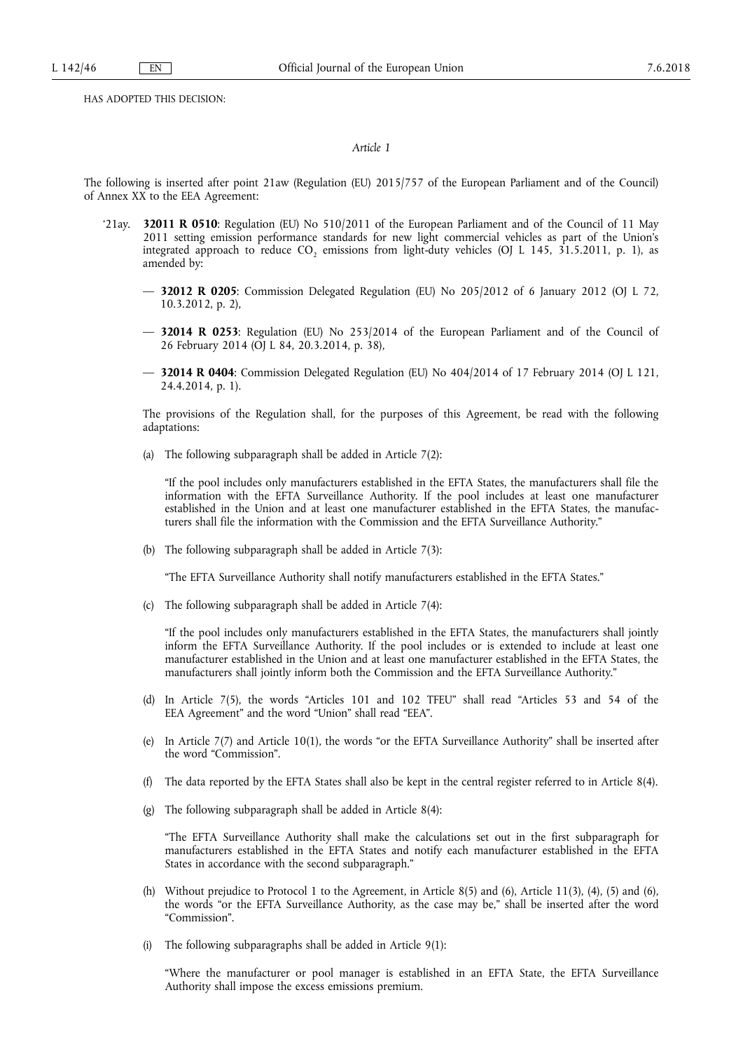HAS ADOPTED THIS DECISION:

### *Article 1*

The following is inserted after point 21aw (Regulation (EU) 2015/757 of the European Parliament and of the Council) of Annex XX to the EEA Agreement:

- '21ay. **32011 R 0510**: Regulation (EU) No 510/2011 of the European Parliament and of the Council of 11 May 2011 setting emission performance standards for new light commercial vehicles as part of the Union's integrated approach to reduce  $CO_2$  emissions from light-duty vehicles (OJ L 145, 31.5.2011, p. 1), as amended by:
	- **32012 R 0205**: Commission Delegated Regulation (EU) No 205/2012 of 6 January 2012 (OJ L 72, 10.3.2012, p. 2),
	- **32014 R 0253**: Regulation (EU) No 253/2014 of the European Parliament and of the Council of 26 February 2014 (OJ L 84, 20.3.2014, p. 38),
	- **32014 R 0404**: Commission Delegated Regulation (EU) No 404/2014 of 17 February 2014 (OJ L 121, 24.4.2014, p. 1).

The provisions of the Regulation shall, for the purposes of this Agreement, be read with the following adaptations:

(a) The following subparagraph shall be added in Article 7(2):

"If the pool includes only manufacturers established in the EFTA States, the manufacturers shall file the information with the EFTA Surveillance Authority. If the pool includes at least one manufacturer established in the Union and at least one manufacturer established in the EFTA States, the manufacturers shall file the information with the Commission and the EFTA Surveillance Authority."

(b) The following subparagraph shall be added in Article 7(3):

"The EFTA Surveillance Authority shall notify manufacturers established in the EFTA States."

(c) The following subparagraph shall be added in Article 7(4):

"If the pool includes only manufacturers established in the EFTA States, the manufacturers shall jointly inform the EFTA Surveillance Authority. If the pool includes or is extended to include at least one manufacturer established in the Union and at least one manufacturer established in the EFTA States, the manufacturers shall jointly inform both the Commission and the EFTA Surveillance Authority."

- (d) In Article 7(5), the words "Articles 101 and 102 TFEU" shall read "Articles 53 and 54 of the EEA Agreement" and the word "Union" shall read "EEA".
- (e) In Article 7(7) and Article 10(1), the words "or the EFTA Surveillance Authority" shall be inserted after the word "Commission".
- (f) The data reported by the EFTA States shall also be kept in the central register referred to in Article 8(4).
- (g) The following subparagraph shall be added in Article 8(4):

"The EFTA Surveillance Authority shall make the calculations set out in the first subparagraph for manufacturers established in the EFTA States and notify each manufacturer established in the EFTA States in accordance with the second subparagraph."

- (h) Without prejudice to Protocol 1 to the Agreement, in Article  $8(5)$  and  $(6)$ , Article 11(3), (4), (5) and (6), the words "or the EFTA Surveillance Authority, as the case may be," shall be inserted after the word "Commission".
- (i) The following subparagraphs shall be added in Article 9(1):

"Where the manufacturer or pool manager is established in an EFTA State, the EFTA Surveillance Authority shall impose the excess emissions premium.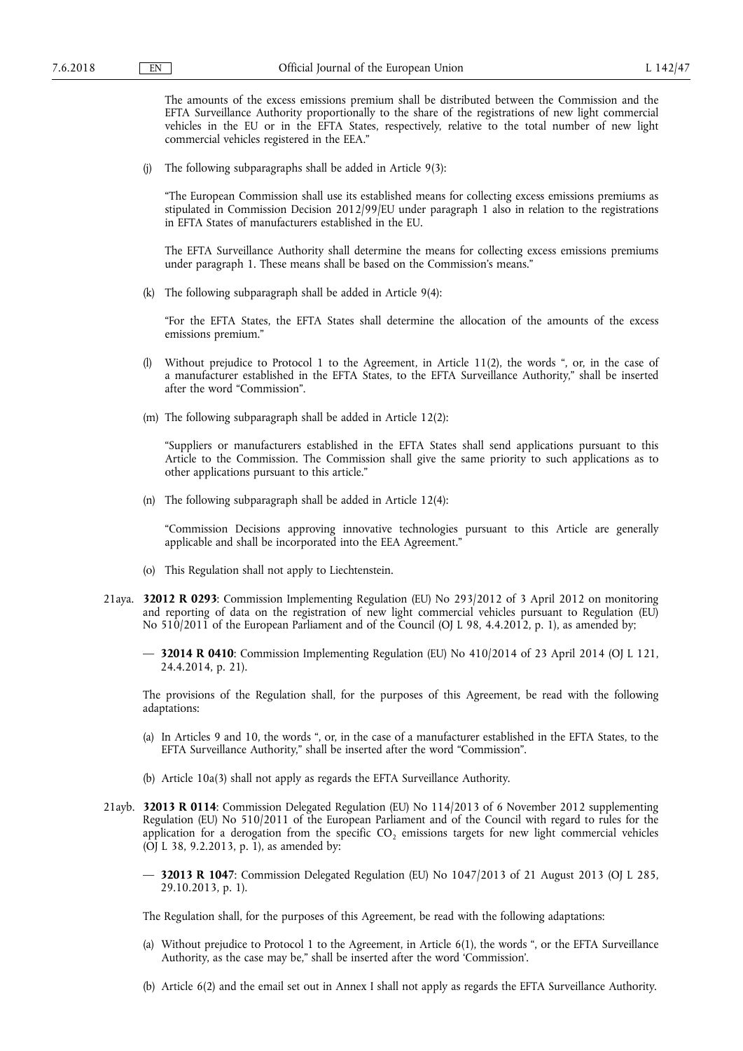The amounts of the excess emissions premium shall be distributed between the Commission and the EFTA Surveillance Authority proportionally to the share of the registrations of new light commercial vehicles in the EU or in the EFTA States, respectively, relative to the total number of new light commercial vehicles registered in the EEA."

(j) The following subparagraphs shall be added in Article 9(3):

"The European Commission shall use its established means for collecting excess emissions premiums as stipulated in Commission Decision 2012/99/EU under paragraph 1 also in relation to the registrations in EFTA States of manufacturers established in the EU.

The EFTA Surveillance Authority shall determine the means for collecting excess emissions premiums under paragraph 1. These means shall be based on the Commission's means."

(k) The following subparagraph shall be added in Article 9(4):

"For the EFTA States, the EFTA States shall determine the allocation of the amounts of the excess emissions premium."

- (l) Without prejudice to Protocol 1 to the Agreement, in Article 11(2), the words ", or, in the case of a manufacturer established in the EFTA States, to the EFTA Surveillance Authority," shall be inserted after the word "Commission".
- (m) The following subparagraph shall be added in Article 12(2):

"Suppliers or manufacturers established in the EFTA States shall send applications pursuant to this Article to the Commission. The Commission shall give the same priority to such applications as to other applications pursuant to this article."

(n) The following subparagraph shall be added in Article 12(4):

"Commission Decisions approving innovative technologies pursuant to this Article are generally applicable and shall be incorporated into the EEA Agreement."

- (o) This Regulation shall not apply to Liechtenstein.
- 21aya. **32012 R 0293**: Commission Implementing Regulation (EU) No 293/2012 of 3 April 2012 on monitoring and reporting of data on the registration of new light commercial vehicles pursuant to Regulation (EU) No 510/2011 of the European Parliament and of the Council (OJ L 98, 4.4.2012, p. 1), as amended by;
	- **32014 R 0410**: Commission Implementing Regulation (EU) No 410/2014 of 23 April 2014 (OJ L 121, 24.4.2014, p. 21).

The provisions of the Regulation shall, for the purposes of this Agreement, be read with the following adaptations:

- (a) In Articles 9 and 10, the words ", or, in the case of a manufacturer established in the EFTA States, to the EFTA Surveillance Authority," shall be inserted after the word "Commission".
- (b) Article 10a(3) shall not apply as regards the EFTA Surveillance Authority.
- 21ayb. **32013 R 0114**: Commission Delegated Regulation (EU) No 114/2013 of 6 November 2012 supplementing Regulation (EU) No 510/2011 of the European Parliament and of the Council with regard to rules for the application for a derogation from the specific  $CO<sub>2</sub>$  emissions targets for new light commercial vehicles (OJ L 38, 9.2.2013, p. 1), as amended by:
	- **32013 R 1047**: Commission Delegated Regulation (EU) No 1047/2013 of 21 August 2013 (OJ L 285, 29.10.2013, p. 1).

The Regulation shall, for the purposes of this Agreement, be read with the following adaptations:

- (a) Without prejudice to Protocol 1 to the Agreement, in Article 6(1), the words ", or the EFTA Surveillance Authority, as the case may be," shall be inserted after the word 'Commission'.
- (b) Article 6(2) and the email set out in Annex I shall not apply as regards the EFTA Surveillance Authority.